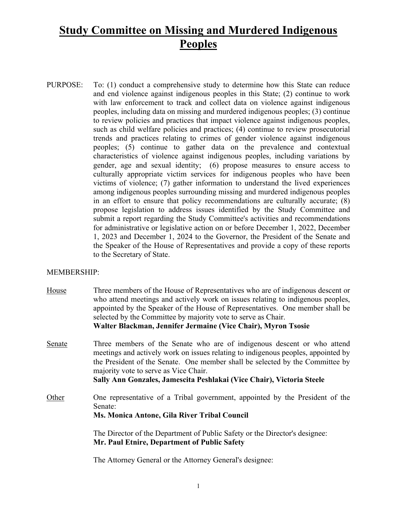# **Study Committee on Missing and Murdered Indigenous Peoples**

PURPOSE: To: (1) conduct a comprehensive study to determine how this State can reduce and end violence against indigenous peoples in this State; (2) continue to work with law enforcement to track and collect data on violence against indigenous peoples, including data on missing and murdered indigenous peoples; (3) continue to review policies and practices that impact violence against indigenous peoples, such as child welfare policies and practices; (4) continue to review prosecutorial trends and practices relating to crimes of gender violence against indigenous peoples; (5) continue to gather data on the prevalence and contextual characteristics of violence against indigenous peoples, including variations by gender, age and sexual identity; (6) propose measures to ensure access to culturally appropriate victim services for indigenous peoples who have been victims of violence; (7) gather information to understand the lived experiences among indigenous peoples surrounding missing and murdered indigenous peoples in an effort to ensure that policy recommendations are culturally accurate; (8) propose legislation to address issues identified by the Study Committee and submit a report regarding the Study Committee's activities and recommendations for administrative or legislative action on or before December 1, 2022, December 1, 2023 and December 1, 2024 to the Governor, the President of the Senate and the Speaker of the House of Representatives and provide a copy of these reports to the Secretary of State.

#### MEMBERSHIP:

- House Three members of the House of Representatives who are of indigenous descent or who attend meetings and actively work on issues relating to indigenous peoples, appointed by the Speaker of the House of Representatives. One member shall be selected by the Committee by majority vote to serve as Chair. **Walter Blackman, Jennifer Jermaine (Vice Chair), Myron Tsosie**
- Senate Three members of the Senate who are of indigenous descent or who attend meetings and actively work on issues relating to indigenous peoples, appointed by the President of the Senate. One member shall be selected by the Committee by majority vote to serve as Vice Chair.

**Sally Ann Gonzales, Jamescita Peshlakai (Vice Chair), Victoria Steele**

Other One representative of a Tribal government, appointed by the President of the Senate: **Ms. Monica Antone, Gila River Tribal Council**

> The Director of the Department of Public Safety or the Director's designee: **Mr. Paul Etnire, Department of Public Safety**

The Attorney General or the Attorney General's designee: